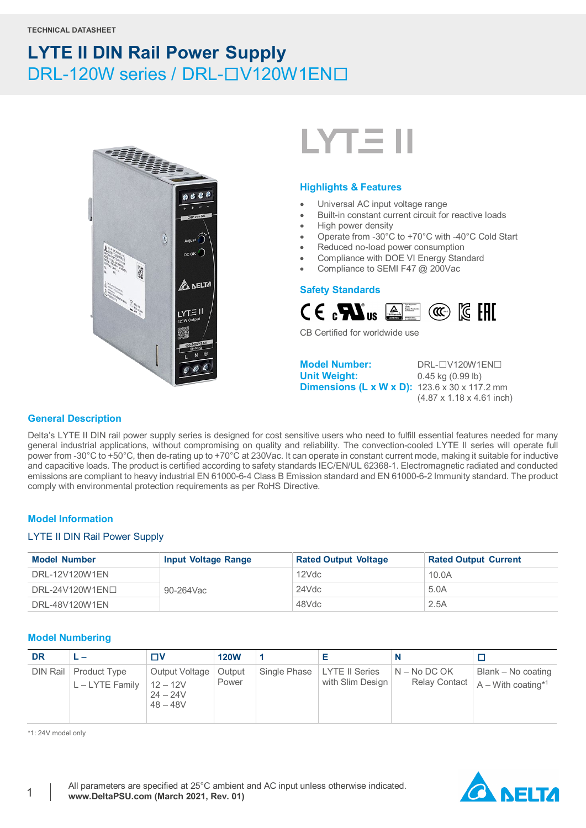



#### **Highlights & Features**

- Universal AC input voltage range
- Built-in constant current circuit for reactive loads
- High power density
- Operate from -30°C to +70°C with -40°C Cold Start
- Reduced no-load power consumption
- Compliance with DOE VI Energy Standard
- Compliance to SEMI F47 @ 200Vac

#### **Safety Standards**



CB Certified for worldwide use

**Model Number:** DRL-□V120W1EN□<br>
Unit Weight: 0.45 kg (0.99 lb) **Dimensions (L x W x D):** 123.6 x 30 x 117.2 mm

**Unit Weight:** 0.45 kg (0.99 lb) (4.87 x 1.18 x 4.61 inch)

#### **General Description**

Delta's LYTE II DIN rail power supply series is designed for cost sensitive users who need to fulfill essential features needed for many general industrial applications, without compromising on quality and reliability. The convection-cooled LYTE II series will operate full power from -30°C to +50°C, then de-rating up to +70°C at 230Vac. It can operate in constant current mode, making it suitable for inductive and capacitive loads. The product is certified according to safety standards IEC/EN/UL 62368-1. Electromagnetic radiated and conducted emissions are compliant to heavy industrial EN 61000-6-4 Class B Emission standard and EN 61000-6-2 Immunity standard. The product comply with environmental protection requirements as per RoHS Directive.

### **Model Information**

#### LYTE II DIN Rail Power Supply

| <b>Model Number</b> | <b>Input Voltage Range</b> | <b>Rated Output Voltage</b> | <b>Rated Output Current</b> |
|---------------------|----------------------------|-----------------------------|-----------------------------|
| DRL-12V120W1EN      | 90-264Vac                  | 12Vdc                       | 10.0A                       |
| $DRL-24V120W1EN1$   |                            | 24Vdc                       | 5.0A                        |
| DRL-48V120W1EN      |                            | 48Vdc                       | 2.5A                        |

#### **Model Numbering**

| <b>DR</b> |                                            | עד                                                       | <b>120W</b>     |                                                                  |                                                                        |
|-----------|--------------------------------------------|----------------------------------------------------------|-----------------|------------------------------------------------------------------|------------------------------------------------------------------------|
|           | DIN Rail   Product Type<br>L - LYTE Family | Output Voltage<br>$12 - 12V$<br>$24 - 24V$<br>$48 - 48V$ | Output<br>Power | Single Phase   LYTE II Series   N – No DC OK<br>with Slim Design | Blank – No coating<br>Relay Contact $ A - W$ ith coating <sup>*1</sup> |

\*1: 24V model only

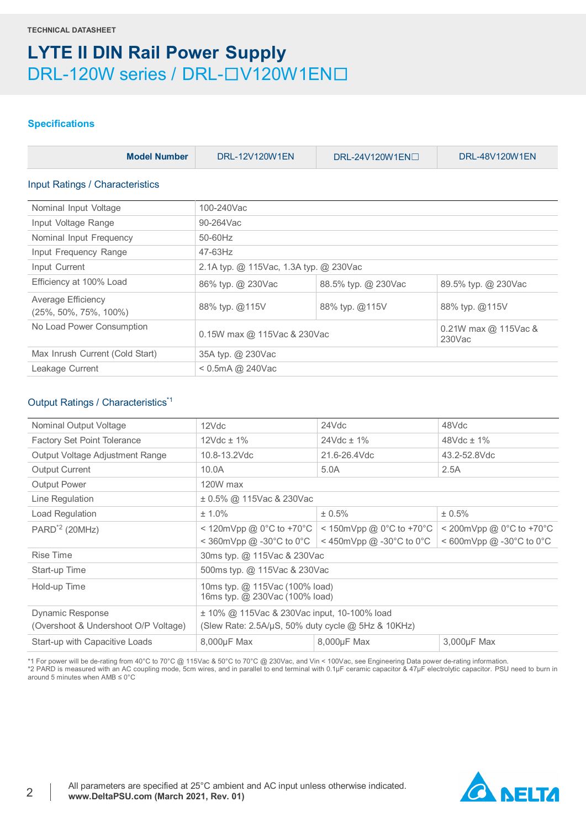### **Specifications**

| <b>Model Number</b>                               | DRL-12V120W1EN                         | DRL-24V120W1EN□     | DRL-48V120W1EN       |  |  |  |
|---------------------------------------------------|----------------------------------------|---------------------|----------------------|--|--|--|
| <b>Input Ratings / Characteristics</b>            |                                        |                     |                      |  |  |  |
| Nominal Input Voltage                             | 100-240Vac                             |                     |                      |  |  |  |
| Input Voltage Range                               | 90-264Vac                              |                     |                      |  |  |  |
| Nominal Input Frequency                           | $50-60$ Hz                             |                     |                      |  |  |  |
| Input Frequency Range                             | 47-63Hz                                |                     |                      |  |  |  |
| Input Current                                     | 2.1A typ. @ 115Vac, 1.3A typ. @ 230Vac |                     |                      |  |  |  |
| Efficiency at 100% Load                           | 86% typ. @ 230Vac                      | 88.5% typ. @ 230Vac | 89.5% typ. @ 230Vac  |  |  |  |
| Average Efficiency<br>$(25\%, 50\%, 75\%, 100\%)$ | 88% typ. @115V                         | 88% typ. @115V      | 88% typ. @115V       |  |  |  |
| No Load Power Consumption                         | 0.15W max @ 115Vac & 230Vac            |                     | 0.21W max @ 115Vac & |  |  |  |

| No Load Power Consumption       | 0.15W max @ 115Vac & 230Vac | $\vert$ 0.21W max @ 115Vac &<br>230Vac |
|---------------------------------|-----------------------------|----------------------------------------|
| Max Inrush Current (Cold Start) | 35A typ. @ 230Vac           |                                        |
| Leakage Current                 | $\leq$ 0.5mA @ 240Vac       |                                        |

### Output Ratings / Characteristics\*1

| Nominal Output Voltage               | 12Vdc                                                            | 24Vdc                         | 48Vdc                      |  |
|--------------------------------------|------------------------------------------------------------------|-------------------------------|----------------------------|--|
| <b>Factory Set Point Tolerance</b>   | $12Vdc \pm 1%$                                                   | $24Vdc \pm 1\%$               | $48Vdc \pm 1\%$            |  |
| Output Voltage Adjustment Range      | 10.8-13.2Vdc                                                     | 21.6-26.4Vdc                  | 43.2-52.8Vdc               |  |
| <b>Output Current</b>                | 10.0A                                                            | 5.0A                          | 2.5A                       |  |
| <b>Output Power</b>                  | 120W max                                                         |                               |                            |  |
| Line Regulation                      | ± 0.5% @ 115Vac & 230Vac                                         |                               |                            |  |
| Load Regulation                      | $± 1.0\%$                                                        | ± 0.5%                        | ± 0.5%                     |  |
| $PARD^{\dagger 2}$ (20MHz)           | $<$ 120mVpp @ 0°C to +70°C                                       | $<$ 150mVpp @ 0°C to +70°C    | $<$ 200mVpp @ 0°C to +70°C |  |
|                                      | $\leq$ 360mVpp $\omega$ -30°C to 0°C                             | $\leq$ 450mVpp @ -30°C to 0°C | < 600mVpp @ -30°C to 0°C   |  |
| Rise Time                            | 30ms typ. @ 115Vac & 230Vac                                      |                               |                            |  |
| Start-up Time                        | 500ms typ. @ 115Vac & 230Vac                                     |                               |                            |  |
| Hold-up Time                         | 10ms typ. @ 115Vac (100% load)<br>16ms typ. @ 230Vac (100% load) |                               |                            |  |
| Dynamic Response                     | ± 10% @ 115Vac & 230Vac input, 10-100% load                      |                               |                            |  |
| (Overshoot & Undershoot O/P Voltage) | (Slew Rate: 2.5A/µS, 50% duty cycle @ 5Hz & 10KHz)               |                               |                            |  |
| Start-up with Capacitive Loads       | 8,000µF Max                                                      | 8,000µF Max                   | 3,000µF Max                |  |
|                                      |                                                                  |                               |                            |  |

\*1 For power will be de-rating from 40°C to 70°C @ 115Vac & 50°C to 70°C @ 230Vac, and Vin < 100Vac, see Engineering Data power de-rating information. \*2 PARD is measured with an AC coupling mode, 5cm wires, and in parallel to end terminal with 0.1μF ceramic capacitor & 47μF electrolytic capacitor. PSU need to burn in<br>around 5 minutes when AMB ≤ 0°C

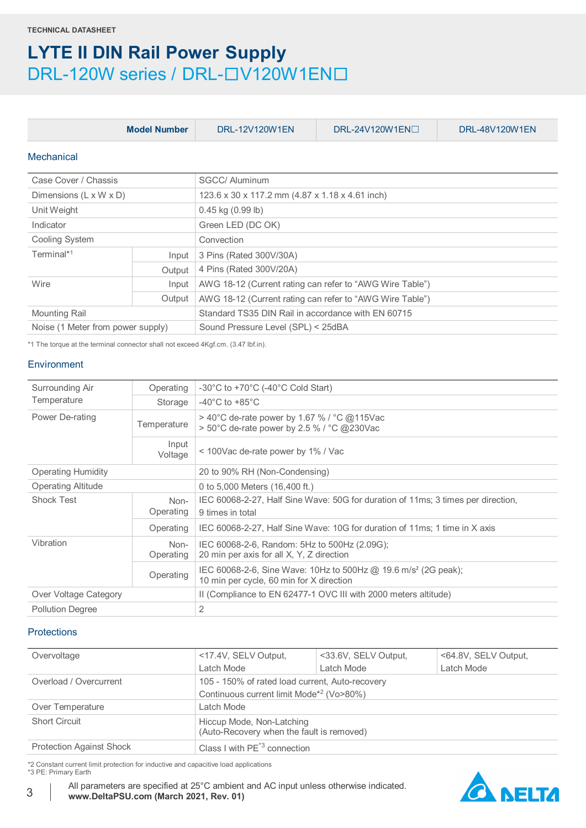| <b>Model Number</b>                |        | DRL-12V120W1EN                                           | $DRL-24V120W1EN$                                | DRL-48V120W1EN |  |  |
|------------------------------------|--------|----------------------------------------------------------|-------------------------------------------------|----------------|--|--|
| Mechanical                         |        |                                                          |                                                 |                |  |  |
| Case Cover / Chassis               |        | SGCC/ Aluminum                                           |                                                 |                |  |  |
| Dimensions $(L \times W \times D)$ |        |                                                          | 123.6 x 30 x 117.2 mm (4.87 x 1.18 x 4.61 inch) |                |  |  |
| Unit Weight                        |        | $0.45$ kg $(0.99$ lb)                                    |                                                 |                |  |  |
| Indicator                          |        | Green LED (DC OK)                                        |                                                 |                |  |  |
| Cooling System                     |        | Convection                                               |                                                 |                |  |  |
| Terminal*1                         | Input  | 3 Pins (Rated 300V/30A)                                  |                                                 |                |  |  |
|                                    | Output | 4 Pins (Rated 300V/20A)                                  |                                                 |                |  |  |
| Wire                               | Input  | AWG 18-12 (Current rating can refer to "AWG Wire Table") |                                                 |                |  |  |
|                                    | Output | AWG 18-12 (Current rating can refer to "AWG Wire Table") |                                                 |                |  |  |
| <b>Mounting Rail</b>               |        | Standard TS35 DIN Rail in accordance with EN 60715       |                                                 |                |  |  |
| Noise (1 Meter from power supply)  |        | Sound Pressure Level (SPL) < 25dBA                       |                                                 |                |  |  |

\*1 The torque at the terminal connector shall not exceed 4Kgf.cm. (3.47 lbf.in).

#### **Environment**

| Surrounding Air           | Operating         | -30°C to +70°C (-40°C Cold Start)                                                                                      |  |
|---------------------------|-------------------|------------------------------------------------------------------------------------------------------------------------|--|
| Temperature               | Storage           | $-40^{\circ}$ C to $+85^{\circ}$ C                                                                                     |  |
| Power De-rating           | Temperature       | $>$ 40°C de-rate power by 1.67 % / °C @115Vac<br>> 50°C de-rate power by 2.5 % / °C @230Vac                            |  |
|                           | Input<br>Voltage  | < 100Vac de-rate power by 1% / Vac                                                                                     |  |
| <b>Operating Humidity</b> |                   | 20 to 90% RH (Non-Condensing)                                                                                          |  |
| <b>Operating Altitude</b> |                   | 0 to 5,000 Meters (16,400 ft.)                                                                                         |  |
| <b>Shock Test</b>         | Non-<br>Operating | IEC 60068-2-27, Half Sine Wave: 50G for duration of 11ms; 3 times per direction,<br>9 times in total                   |  |
|                           | Operating         | IEC 60068-2-27, Half Sine Wave: 10G for duration of 11ms; 1 time in X axis                                             |  |
| Vibration                 | Non-<br>Operating | IEC 60068-2-6, Random: 5Hz to 500Hz (2.09G);<br>20 min per axis for all X, Y, Z direction                              |  |
|                           | Operating         | IEC 60068-2-6, Sine Wave: 10Hz to 500Hz @ 19.6 m/s <sup>2</sup> (2G peak);<br>10 min per cycle, 60 min for X direction |  |
| Over Voltage Category     |                   | II (Compliance to EN 62477-1 OVC III with 2000 meters altitude)                                                        |  |
| <b>Pollution Degree</b>   |                   | 2                                                                                                                      |  |
|                           |                   |                                                                                                                        |  |

### Protections

| Overvoltage                     | <17.4V, SELV Output,                                                   | <33.6V, SELV Output, | <64.8V, SELV Output, |  |
|---------------------------------|------------------------------------------------------------------------|----------------------|----------------------|--|
|                                 | Latch Mode                                                             | Latch Mode           | Latch Mode           |  |
| Overload / Overcurrent          | 105 - 150% of rated load current, Auto-recovery                        |                      |                      |  |
|                                 | Continuous current limit Mode*2 (Vo>80%)                               |                      |                      |  |
| Over Temperature                | Latch Mode                                                             |                      |                      |  |
| <b>Short Circuit</b>            | Hiccup Mode, Non-Latching<br>(Auto-Recovery when the fault is removed) |                      |                      |  |
| <b>Protection Against Shock</b> | Class I with PF <sup>*3</sup> connection                               |                      |                      |  |

\*2 Constant current limit protection for inductive and capacitive load applications

\*3 PE: Primary Earth

All parameters are specified at 25°C ambient and AC input unless otherwise indicated. <sup>3</sup> **www.DeltaPSU.com (March 2021, Rev. 01)**

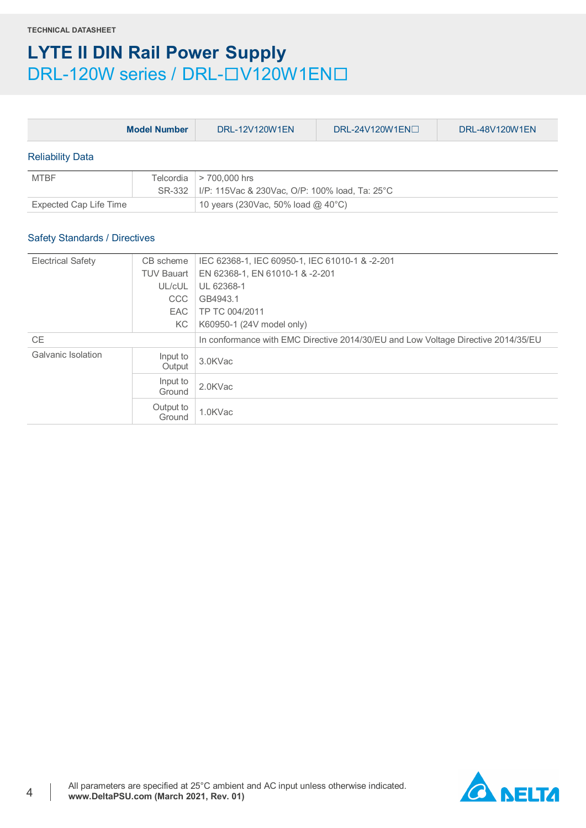|                                      | <b>Model Number</b> | DRL-12V120W1EN                                                  | DRL-24V120W1EN $\Box$ | DRL-48V120W1EN |  |
|--------------------------------------|---------------------|-----------------------------------------------------------------|-----------------------|----------------|--|
| <b>Reliability Data</b>              |                     |                                                                 |                       |                |  |
| <b>MTBF</b>                          | Telcordia<br>SR-332 | > 700,000 hrs<br>I/P: 115Vac & 230Vac, O/P: 100% load, Ta: 25°C |                       |                |  |
| Expected Cap Life Time               |                     | 10 years (230Vac, 50% load @ 40°C)                              |                       |                |  |
| <b>Safety Standards / Directives</b> |                     |                                                                 |                       |                |  |
| <b>Electrical Safety</b>             | CB scheme           | IEC 62368-1, IEC 60950-1, IEC 61010-1 & -2-201                  |                       |                |  |
|                                      | THV Rouart          | $EN$ 62368.1 EN 61010.1 8. 2.201                                |                       |                |  |

|                           | <b>TUV Bauart</b>   | EN 62368-1, EN 61010-1 & -2-201                                                   |
|---------------------------|---------------------|-----------------------------------------------------------------------------------|
|                           | UL/cUL              | UL 62368-1                                                                        |
|                           | <b>CCC</b>          | GB4943.1                                                                          |
|                           | <b>EAC</b>          | TP TC 004/2011                                                                    |
|                           | KC .                | K60950-1 (24V model only)                                                         |
| <b>CE</b>                 |                     | In conformance with EMC Directive 2014/30/EU and Low Voltage Directive 2014/35/EU |
| <b>Galvanic Isolation</b> | Input to<br>Output  | 3.0KVac                                                                           |
|                           | Input to<br>Ground  | 2.0KVac                                                                           |
|                           | Output to<br>Ground | 1.0KVac                                                                           |

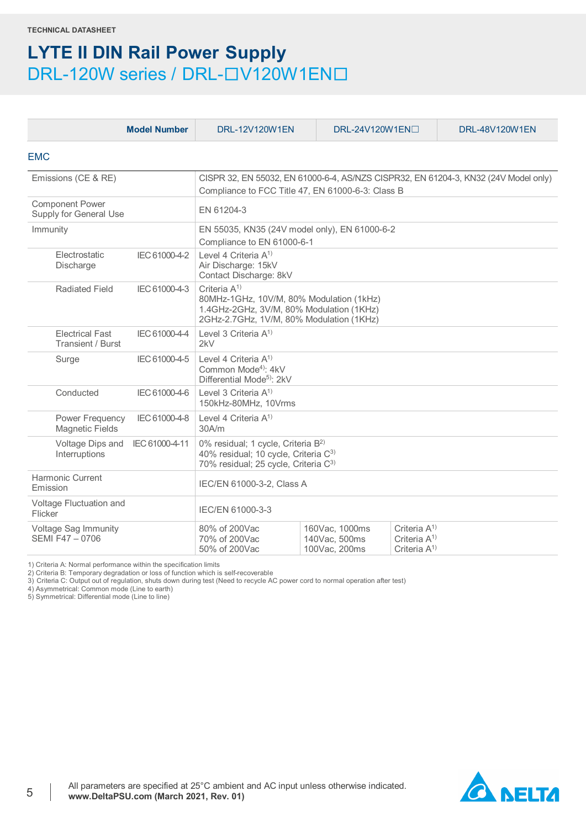|                                                  | <b>Model Number</b> | <b>DRL-12V120W1EN</b>                                                                                                                                  | DRL-24V120W1EN□                                                                                                                          |                                                          | DRL-48V120W1EN |  |  |
|--------------------------------------------------|---------------------|--------------------------------------------------------------------------------------------------------------------------------------------------------|------------------------------------------------------------------------------------------------------------------------------------------|----------------------------------------------------------|----------------|--|--|
| <b>EMC</b>                                       |                     |                                                                                                                                                        |                                                                                                                                          |                                                          |                |  |  |
| Emissions (CE & RE)                              |                     |                                                                                                                                                        | CISPR 32, EN 55032, EN 61000-6-4, AS/NZS CISPR32, EN 61204-3, KN32 (24V Model only)<br>Compliance to FCC Title 47, EN 61000-6-3: Class B |                                                          |                |  |  |
| <b>Component Power</b><br>Supply for General Use |                     | EN 61204-3                                                                                                                                             |                                                                                                                                          |                                                          |                |  |  |
| Immunity                                         |                     | EN 55035, KN35 (24V model only), EN 61000-6-2<br>Compliance to EN 61000-6-1                                                                            |                                                                                                                                          |                                                          |                |  |  |
| Electrostatic<br>Discharge                       | IEC 61000-4-2       | Level 4 Criteria A <sup>1)</sup><br>Air Discharge: 15kV<br>Contact Discharge: 8kV                                                                      |                                                                                                                                          |                                                          |                |  |  |
| <b>Radiated Field</b>                            | IEC 61000-4-3       | Criteria $A^{1}$<br>80MHz-1GHz, 10V/M, 80% Modulation (1kHz)<br>1.4GHz-2GHz, 3V/M, 80% Modulation (1KHz)<br>2GHz-2.7GHz, 1V/M, 80% Modulation (1KHz)   |                                                                                                                                          |                                                          |                |  |  |
| <b>Electrical Fast</b><br>Transient / Burst      | IEC 61000-4-4       | Level 3 Criteria $A^{1}$<br>2kV                                                                                                                        |                                                                                                                                          |                                                          |                |  |  |
| Surge                                            | IEC 61000-4-5       | Level 4 Criteria $A^{(1)}$<br>Common Mode <sup>4)</sup> : 4kV<br>Differential Mode <sup>5</sup> ): 2kV                                                 |                                                                                                                                          |                                                          |                |  |  |
| Conducted                                        | IEC 61000-4-6       | Level 3 Criteria $A^{(1)}$<br>150kHz-80MHz, 10Vrms                                                                                                     |                                                                                                                                          |                                                          |                |  |  |
| Power Frequency<br><b>Magnetic Fields</b>        | IEC 61000-4-8       | Level 4 Criteria $A^{(1)}$<br>30A/m                                                                                                                    |                                                                                                                                          |                                                          |                |  |  |
| Voltage Dips and<br>Interruptions                | IEC 61000-4-11      | 0% residual; 1 cycle, Criteria B <sup>2)</sup><br>40% residual; 10 cycle, Criteria C <sup>3)</sup><br>70% residual; 25 cycle, Criteria C <sup>3)</sup> |                                                                                                                                          |                                                          |                |  |  |
| Harmonic Current<br>Emission                     |                     | IEC/EN 61000-3-2, Class A                                                                                                                              |                                                                                                                                          |                                                          |                |  |  |
| Voltage Fluctuation and<br>Flicker               |                     | IEC/EN 61000-3-3                                                                                                                                       |                                                                                                                                          |                                                          |                |  |  |
| Voltage Sag Immunity<br>SFMI F47 - 0706          |                     | 80% of 200Vac<br>70% of 200Vac<br>50% of 200Vac                                                                                                        | 160Vac, 1000ms<br>140Vac, 500ms<br>100Vac, 200ms                                                                                         | Criteria $A^{1}$<br>Criteria $A^{1}$<br>Criteria $A^{1}$ |                |  |  |

1) Criteria A: Normal performance within the specification limits

2) Criteria B: Temporary degradation or loss of function which is self-recoverable 3) Criteria C: Output out of regulation, shuts down during test (Need to recycle AC power cord to normal operation after test)

4) Asymmetrical: Common mode (Line to earth)

5) Symmetrical: Differential mode (Line to line)

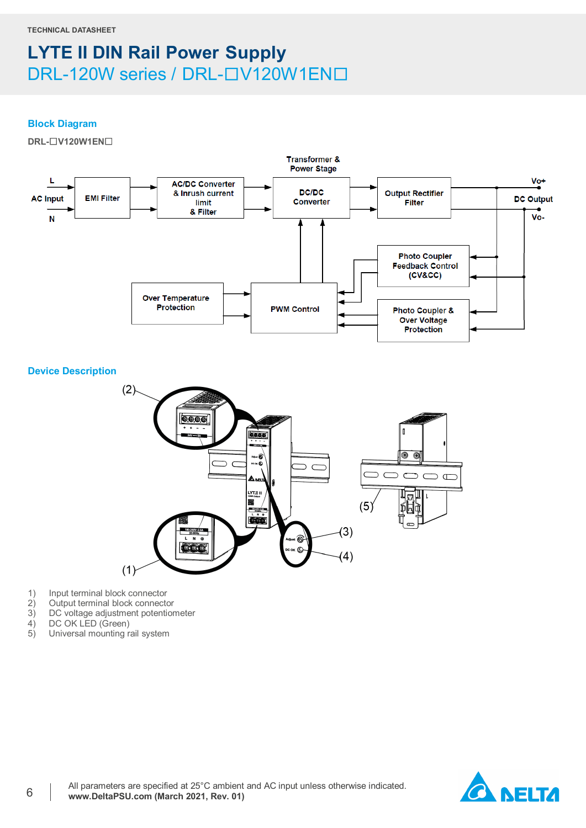### **Block Diagram**

**DRL-**☐**V120W1EN**☐



**Device Description**



- 1) Input terminal block connector<br>2) Output terminal block connector
- 2) Output terminal block connector<br>3) DC voltage adjustment potention
- 3) DC voltage adjustment potentiometer<br>4) DC OK LED (Green)
- 4) DC OK LED (Green)<br>5) Universal mounting r
- Universal mounting rail system

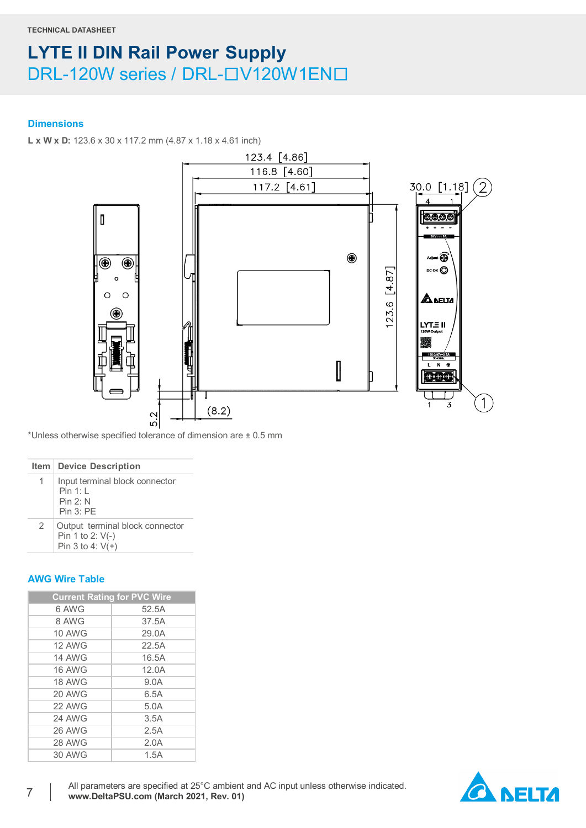### **Dimensions**

**L x W x D:** 123.6 x 30 x 117.2 mm (4.87 x 1.18 x 4.61 inch)



\*Unless otherwise specified tolerance of dimension are ± 0.5 mm

#### **Item Device Description**

|   | Input terminal block connector<br>Pin 1:1<br>Pin 2: N<br>Pin 3: PF        |
|---|---------------------------------------------------------------------------|
| 2 | Output terminal block connector<br>Pin 1 to 2: V(-)<br>Pin 3 to 4: $V(+)$ |

## **AWG Wire Table**

| <b>Current Rating for PVC Wire</b> |       |
|------------------------------------|-------|
| 6 AWG                              | 52.5A |
| 8 AWG                              | 37.5A |
| <b>10 AWG</b>                      | 29.0A |
| <b>12 AWG</b>                      | 22.5A |
| <b>14 AWG</b>                      | 16.5A |
| <b>16 AWG</b>                      | 12.0A |
| <b>18 AWG</b>                      | 9.0A  |
| 20 AWG                             | 6.5A  |
| 22 AWG                             | 5.0A  |
| 24 AWG                             | 3.5A  |
| 26 AWG                             | 2.5A  |
| 28 AWG                             | 2.0A  |
| 30 AWG                             | 1.5A  |

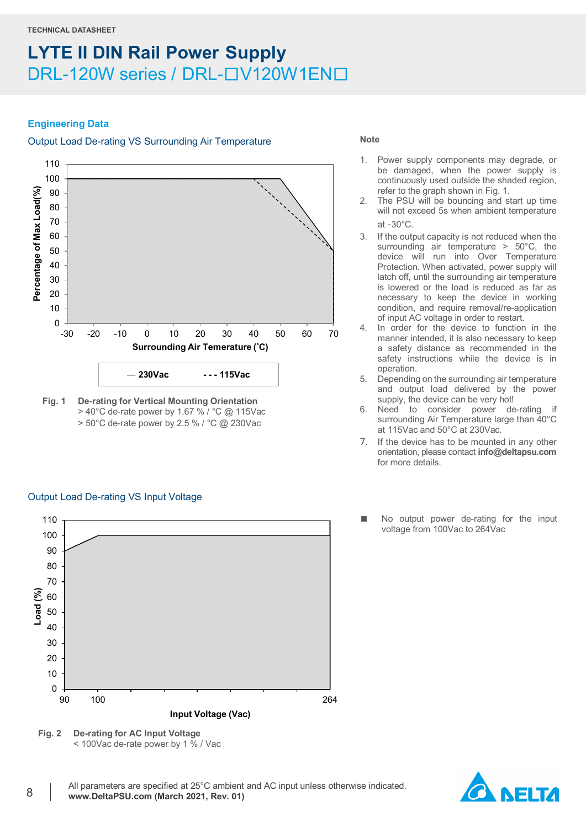### **Engineering Data**

# Output Load De-rating VS Surrounding Air Temperature



**Fig. 1 De-rating for Vertical Mounting Orientation** > 40°C de-rate power by 1.67 % / °C @ 115Vac > 50°C de-rate power by 2.5 % / °C @ 230Vac

Output Load De-rating VS Input Voltage

#### **Note**

- 1. Power supply components may degrade, or be damaged, when the power supply is continuously used outside the shaded region, refer to the graph shown in Fig. 1.
- 2. The PSU will be bouncing and start up time will not exceed 5s when ambient temperature at ‐30°C.
- 3. If the output capacity is not reduced when the surrounding air temperature > 50°C, the device will run into Over Temperature Protection. When activated, power supply will latch off, until the surrounding air temperature is lowered or the load is reduced as far as necessary to keep the device in working condition, and require removal/re-application of input AC voltage in order to restart.
- In order for the device to function in the manner intended, it is also necessary to keep a safety distance as recommended in the safety instructions while the device is in operation.
- 5. Depending on the surrounding air temperature and output load delivered by the power supply, the device can be very hot!
- 6. Need to consider power de-rating if surrounding Air Temperature large than 40°C at 115Vac and 50°C at 230Vac.
- 7. If the device has to be mounted in any other orientation, please contact **[info@deltapsu.com](mailto:info@deltapsu.com)** for more details.
- No output power de-rating for the input voltage from 100Vac to 264Vac



**Fig. 2 De-rating for AC Input Voltage** < 100Vac de-rate power by 1 % / Vac

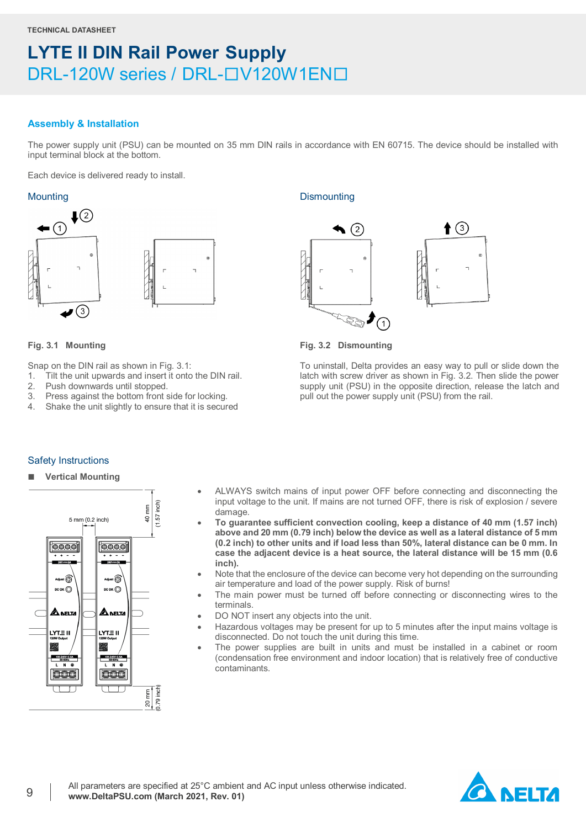### **Assembly & Installation**

The power supply unit (PSU) can be mounted on 35 mm DIN rails in accordance with EN 60715. The device should be installed with input terminal block at the bottom.

Each device is delivered ready to install.

![](_page_8_Figure_6.jpeg)

![](_page_8_Picture_7.jpeg)

#### **Fig. 3.1 Mounting**

Snap on the DIN rail as shown in Fig. 3.1:

- 1. Tilt the unit upwards and insert it onto the DIN rail.
- 2. Push downwards until stopped.
- 3. Press against the bottom front side for locking.
- 4. Shake the unit slightly to ensure that it is secured

### Mounting Dismounting Dismounting

![](_page_8_Figure_15.jpeg)

**Fig. 3.2 Dismounting**

To uninstall, Delta provides an easy way to pull or slide down the latch with screw driver as shown in Fig. 3.2. Then slide the power supply unit (PSU) in the opposite direction, release the latch and pull out the power supply unit (PSU) from the rail.

### Safety Instructions

**Vertical Mounting**

![](_page_8_Figure_20.jpeg)

- ALWAYS switch mains of input power OFF before connecting and disconnecting the input voltage to the unit. If mains are not turned OFF, there is risk of explosion / severe damage.
- **To guarantee sufficient convection cooling, keep a distance of 40 mm (1.57 inch) above and 20 mm (0.79 inch) below the device as well as a lateral distance of 5 mm (0.2 inch) to other units and if load less than 50%, lateral distance can be 0 mm. In case the adjacent device is a heat source, the lateral distance will be 15 mm (0.6 inch).**
- Note that the enclosure of the device can become very hot depending on the surrounding air temperature and load of the power supply. Risk of burns!
- The main power must be turned off before connecting or disconnecting wires to the terminals.
- DO NOT insert any objects into the unit.
- Hazardous voltages may be present for up to 5 minutes after the input mains voltage is disconnected. Do not touch the unit during this time.
- The power supplies are built in units and must be installed in a cabinet or room (condensation free environment and indoor location) that is relatively free of conductive contaminants.

![](_page_8_Picture_28.jpeg)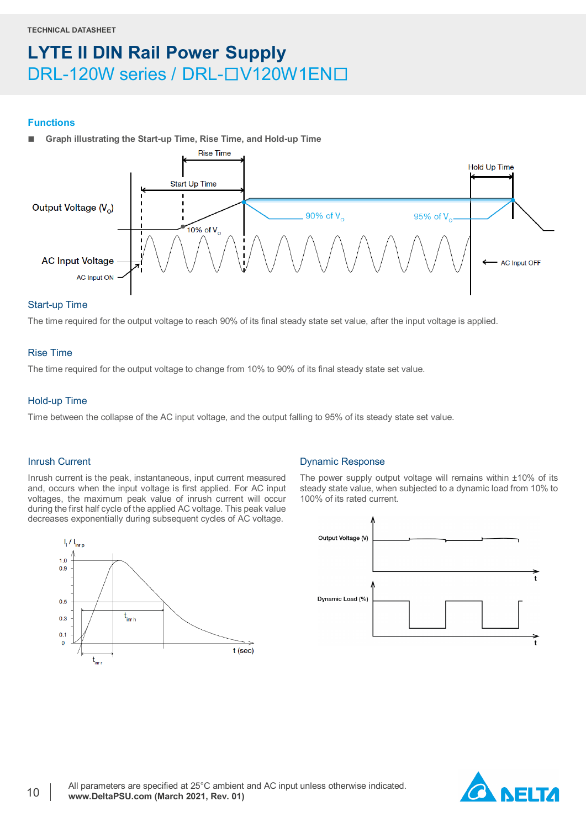#### **Functions**

**Graph illustrating the Start-up Time, Rise Time, and Hold-up Time**

![](_page_9_Figure_4.jpeg)

### Start-up Time

The time required for the output voltage to reach 90% of its final steady state set value, after the input voltage is applied.

### Rise Time

The time required for the output voltage to change from 10% to 90% of its final steady state set value.

### Hold-up Time

Time between the collapse of the AC input voltage, and the output falling to 95% of its steady state set value.

#### Inrush Current

Inrush current is the peak, instantaneous, input current measured and, occurs when the input voltage is first applied. For AC input voltages, the maximum peak value of inrush current will occur during the first half cycle of the applied AC voltage. This peak value decreases exponentially during subsequent cycles of AC voltage.

![](_page_9_Figure_13.jpeg)

#### Dynamic Response

The power supply output voltage will remains within ±10% of its steady state value, when subjected to a dynamic load from 10% to 100% of its rated current.

![](_page_9_Figure_16.jpeg)

![](_page_9_Picture_17.jpeg)